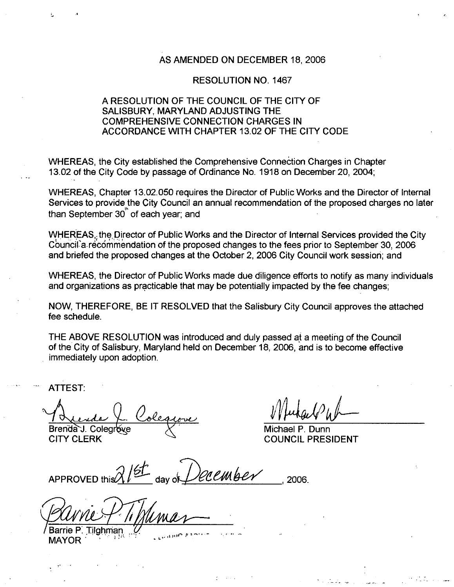## AS AMENDED ON DECEMBER 18 2006

## RESOLUTION NO. 1467

## A RESOLUTION OF THE COUNCIL OF THE CITY OF SALISBURY. MARYLAND ADJUSTING THE COMPREHENSIVE CONNECTION CHARGES IN ACCORDANCE WITH CHAPTER 13.02 OF THE CITY CODE

WHEREAS, the City established the Comprehensive Connection Charges in Chapter 13.02 of the City Code by passage of Ordinance No. 1918 on December 20, 2004;

WHEREAS, Chapter 13.02.050 requires the Director of Public Works and the Director of Internal Services to provide the City Council an annual recommendation of the proposed charges no later than September 30<sup>th</sup> of each year; and A RESOLUTION OF THE COUNCIL OF THE CITY OF<br>
SALISBURY, MARYLAND ADJUSTING THE<br>
COMPREHENSIVE CONNECTION CHARGES IN<br>
ACCORDANCE WITH CHAPTER 13.02 OF THE CITY CODE<br>
WHEREAS, the City established the Comprehensive Connection

WHEREAS, the Director of Public Works and the Director of Internal Services provided the City<br>Council a recommendation of the proposed changes to the fees prior to September 30, 2006 and briefed the proposed changes at the October 2, 2006 City Council work session; and

WHEREAS, the Director of Public Works made due diligence efforts to notify as many individuals and organizations as practicable that may be potentially impacted by the fee changes

NOW, THEREFORE, BE IT RESOLVED that the Salisbury City Council approves the attached fee schedule

THE ABOVE RESOLUTION was introduced and duly passed of <sup>a</sup> meeting of the Council of the City of Salisbury, Maryland held on December 18, 2006, and is to become effective immediately upon adoption

ATTEST

<u>Le Coleque</u><br>Colegrave VIII Michael P Dump

Brenda J. Colegrove  $\chi$  Michael P. Dunn<br>CITY CLERK COUNCIL PRES

**COUNCIL PRESIDENT** 

 $P$   $P$ 

V. Colegrave<br>U. Colegrave<br>LERK<br>VED this 21st day of Dec.<br>VED this 21st day of Dec. ATTEST:<br>
A Lende L. Colegrove<br>
Brenda J. Colegrove<br>
CITY CLERK<br>
APPROVED this 21st<br>
APPROVED this 21st<br>
Barrie P. Tilghman<br>
MAYOR<br>
MAYOR

Barrie P. Tilghman<br>MAYOR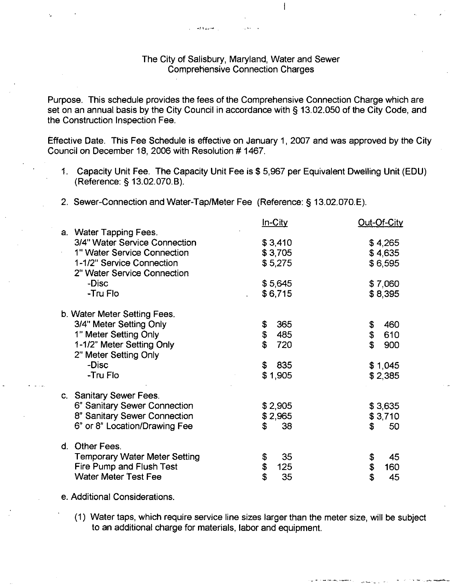## The City of Salisbury, Maryland, Water and Sewer Comprehensive Connection Charges

 $\overline{1}$ 

Purpose. This schedule provides the fees of the Comprehensive Connection Charge which are Purpose. This schedule provides the fees of the Comprehensive Connection Charge which are<br>set on an annual basis by the City Council in accordance with § 13.02.050 of the City Code, and the Construction Inspection Fee

Effective Date. This Fee Schedule is effective on January 1, 2007 and was approved by the City Council on December 18, 2006 with Resolution #1467.

- Capacity Unit Fee. The Capacity Unit Fee is \$5,967 per Equivalent Dwelling Unit (EDU)<br>
(Reference: § 13.02.070.B).<br>
2. Sewer-Connection and Water-Tap/Meter Fee (Reference: § 13.02.070.E).<br>
In-City Out-Of-City an annual basis by the City C<br>nstruction Inspection Fee.<br>ve Date. This Fee Schedule<br>il on December 18, 2006 with<br>Capacity Unit Fee. The Cap<br>(Reference: § 13.02.070.B).<br>Sewer-Connection and Wate
- 2. Sewer-Connection and Water-Tap/Meter Fee (Reference: § 13.02.070.E).

 $-4.4 - 2.0 - 0.05$ 

|                              |                                                          | In-City               | Out-Of-City |
|------------------------------|----------------------------------------------------------|-----------------------|-------------|
|                              | a. Water Tapping Fees.                                   |                       |             |
|                              | 3/4" Water Service Connection                            | \$3,410               | \$4,265     |
|                              | 1" Water Service Connection                              | \$3,705               | \$4,635     |
|                              | 1-1/2" Service Connection<br>2" Water Service Connection | \$5,275               | \$6,595     |
|                              | -Disc                                                    | \$5,645               | \$7,060     |
|                              | -Tru Flo                                                 | \$6,715               | \$8,395     |
| b. Water Meter Setting Fees. |                                                          |                       |             |
|                              | 3/4" Meter Setting Only                                  | 365<br>\$             | 460<br>\$   |
|                              | 1" Meter Setting Only                                    | \$<br>485             | \$<br>610   |
|                              | 1-1/2" Meter Setting Only                                | \$<br>720             | \$<br>900   |
|                              | 2" Meter Setting Only                                    |                       |             |
|                              | -Disc                                                    | $\mathfrak{F}$<br>835 | \$1,045     |
|                              | -Tru Flo                                                 | \$1,905               | \$2,385     |
|                              | c. Sanitary Sewer Fees.                                  |                       |             |
|                              | 6" Sanitary Sewer Connection                             | \$2,905               | \$3,635     |
|                              | 8" Sanitary Sewer Connection                             | \$2,965               | \$3,710     |
|                              | 6" or 8" Location/Drawing Fee                            | \$<br>38              | \$<br>50    |
|                              | d. Other Fees.                                           |                       |             |
|                              | <b>Temporary Water Meter Setting</b>                     | 35<br>\$              | \$<br>45    |
|                              | Fire Pump and Flush Test                                 | \$<br>125             | \$<br>160   |
|                              | <b>Water Meter Test Fee</b>                              | \$<br>35              | \$<br>45    |

e. Additional Considerations.

(1) Water taps, which require service line sizes larger than the meter size, will be subject to an additional charge for materials, labor and equipment.